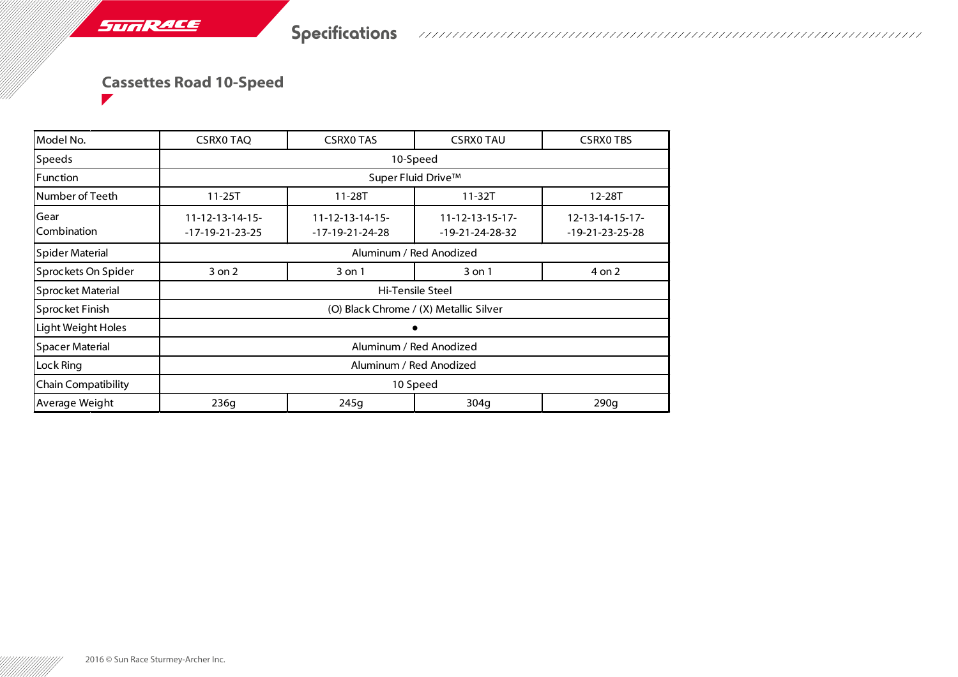## **Cassettes Road 10-Speed**

SUNRACE

| Model No.              | <b>CSRX0 TAQ</b>                       | <b>CSRXO TAS</b>           | <b>CSRXO TAU</b>         | <b>CSRXO TBS</b>         |  |  |  |  |
|------------------------|----------------------------------------|----------------------------|--------------------------|--------------------------|--|--|--|--|
| <b>Speeds</b>          | 10-Speed                               |                            |                          |                          |  |  |  |  |
| <b>Function</b>        | Super Fluid Drive™                     |                            |                          |                          |  |  |  |  |
| Number of Teeth        | $11 - 25T$                             | 11-28T                     | $11 - 32T$               | 12-28T                   |  |  |  |  |
| Gear                   | $11 - 12 - 13 - 14 - 15 -$             | $11 - 12 - 13 - 14 - 15 -$ | $11 - 12 - 13 - 15 - 17$ | $12 - 13 - 14 - 15 - 17$ |  |  |  |  |
| Combination            | -17-19-21-23-25                        | $-17-19-21-24-28$          | $-19-21-24-28-32$        | $-19-21-23-25-28$        |  |  |  |  |
| Spider Material        | Aluminum / Red Anodized                |                            |                          |                          |  |  |  |  |
| Sprockets On Spider    | 3 on 2                                 | 3 on 1                     | 3 on 1                   | 4 on 2                   |  |  |  |  |
| Sprocket Material      | Hi-Tensile Steel                       |                            |                          |                          |  |  |  |  |
| Sprocket Finish        | (O) Black Chrome / (X) Metallic Silver |                            |                          |                          |  |  |  |  |
| Light Weight Holes     |                                        |                            |                          |                          |  |  |  |  |
| <b>Spacer Material</b> | Aluminum / Red Anodized                |                            |                          |                          |  |  |  |  |
| Lock Ring              | Aluminum / Red Anodized                |                            |                          |                          |  |  |  |  |
| Chain Compatibility    | 10 Speed                               |                            |                          |                          |  |  |  |  |
| Average Weight         | 236g                                   | 245g                       | 304g                     | 290q                     |  |  |  |  |